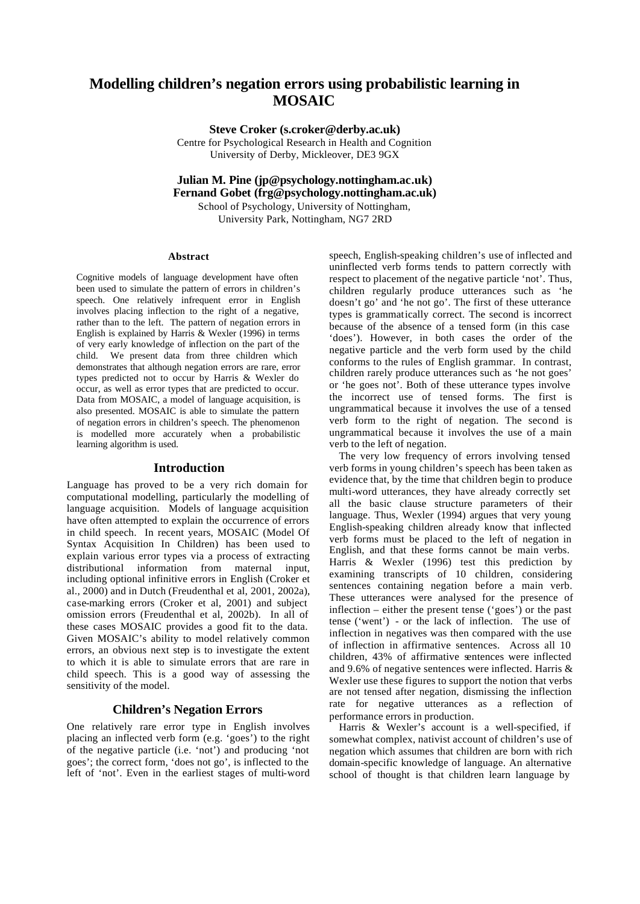# **Modelling children's negation errors using probabilistic learning in MOSAIC**

**Steve Croker (s.croker@derby.ac.uk)**

Centre for Psychological Research in Health and Cognition University of Derby, Mickleover, DE3 9GX

**Julian M. Pine (jp@psychology.nottingham.ac.uk) Fernand Gobet (frg@psychology.nottingham.ac.uk)**

School of Psychology, University of Nottingham, University Park, Nottingham, NG7 2RD

#### **Abstract**

Cognitive models of language development have often been used to simulate the pattern of errors in children's speech. One relatively infrequent error in English involves placing inflection to the right of a negative, rather than to the left. The pattern of negation errors in English is explained by Harris & Wexler (1996) in terms of very early knowledge of inflection on the part of the child. We present data from three children which demonstrates that although negation errors are rare, error types predicted not to occur by Harris & Wexler do occur, as well as error types that are predicted to occur. Data from MOSAIC, a model of language acquisition, is also presented. MOSAIC is able to simulate the pattern of negation errors in children's speech. The phenomenon is modelled more accurately when a probabilistic learning algorithm is used.

#### **Introduction**

Language has proved to be a very rich domain for computational modelling, particularly the modelling of language acquisition. Models of language acquisition have often attempted to explain the occurrence of errors in child speech. In recent years, MOSAIC (Model Of Syntax Acquisition In Children) has been used to explain various error types via a process of extracting distributional information from maternal input, including optional infinitive errors in English (Croker et al., 2000) and in Dutch (Freudenthal et al, 2001, 2002a), case-marking errors (Croker et al, 2001) and subject omission errors (Freudenthal et al, 2002b). In all of these cases MOSAIC provides a good fit to the data. Given MOSAIC's ability to model relatively common errors, an obvious next step is to investigate the extent to which it is able to simulate errors that are rare in child speech. This is a good way of assessing the sensitivity of the model.

## **Children's Negation Errors**

One relatively rare error type in English involves placing an inflected verb form (e.g. 'goes') to the right of the negative particle (i.e. 'not') and producing 'not goes'; the correct form, 'does not go', is inflected to the left of 'not'. Even in the earliest stages of multi-word speech, English-speaking children's use of inflected and uninflected verb forms tends to pattern correctly with respect to placement of the negative particle 'not'. Thus, children regularly produce utterances such as 'he doesn't go' and 'he not go'. The first of these utterance types is grammatically correct. The second is incorrect because of the absence of a tensed form (in this case 'does'). However, in both cases the order of the negative particle and the verb form used by the child conforms to the rules of English grammar. In contrast, children rarely produce utterances such as 'he not goes' or 'he goes not'. Both of these utterance types involve the incorrect use of tensed forms. The first is ungrammatical because it involves the use of a tensed verb form to the right of negation. The second is ungrammatical because it involves the use of a main verb to the left of negation.

The very low frequency of errors involving tensed verb forms in young children's speech has been taken as evidence that, by the time that children begin to produce multi-word utterances, they have already correctly set all the basic clause structure parameters of their language. Thus, Wexler (1994) argues that very young English-speaking children already know that inflected verb forms must be placed to the left of negation in English, and that these forms cannot be main verbs. Harris & Wexler (1996) test this prediction by examining transcripts of 10 children, considering sentences containing negation before a main verb. These utterances were analysed for the presence of inflection – either the present tense ('goes') or the past tense ('went') - or the lack of inflection. The use of inflection in negatives was then compared with the use of inflection in affirmative sentences. Across all 10 children, 43% of affirmative sentences were inflected and 9.6% of negative sentences were inflected. Harris & Wexler use these figures to support the notion that verbs are not tensed after negation, dismissing the inflection rate for negative utterances as a reflection of performance errors in production.

Harris & Wexler's account is a well-specified, if somewhat complex, nativist account of children's use of negation which assumes that children are born with rich domain-specific knowledge of language. An alternative school of thought is that children learn language by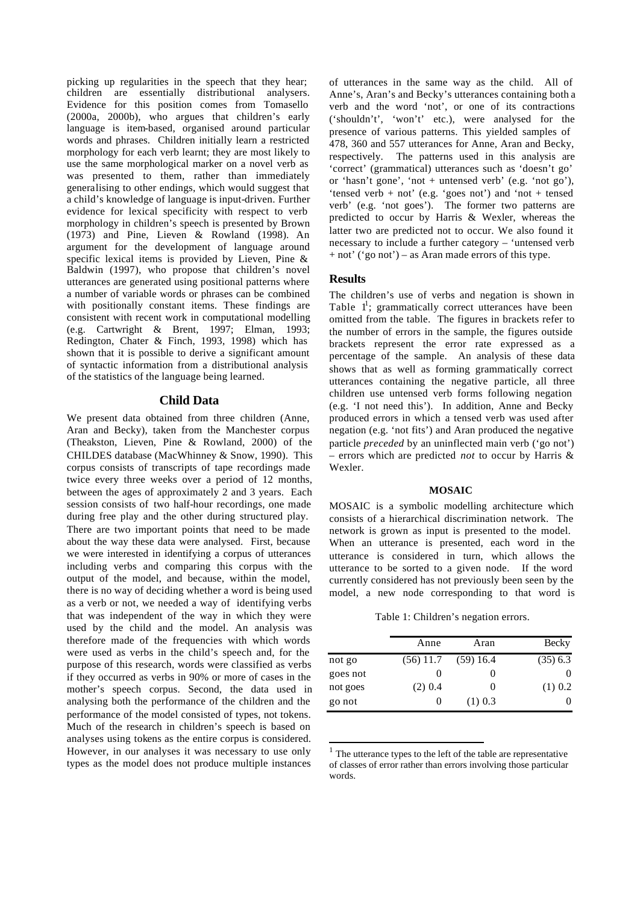picking up regularities in the speech that they hear; children are essentially distributional analysers. Evidence for this position comes from Tomasello (2000a, 2000b), who argues that children's early language is item-based, organised around particular words and phrases. Children initially learn a restricted morphology for each verb learnt; they are most likely to use the same morphological marker on a novel verb as was presented to them, rather than immediately generalising to other endings, which would suggest that a child's knowledge of language is input-driven. Further evidence for lexical specificity with respect to verb morphology in children's speech is presented by Brown (1973) and Pine, Lieven & Rowland (1998). An argument for the development of language around specific lexical items is provided by Lieven, Pine & Baldwin (1997), who propose that children's novel utterances are generated using positional patterns where a number of variable words or phrases can be combined with positionally constant items. These findings are consistent with recent work in computational modelling (e.g. Cartwright & Brent, 1997; Elman, 1993; Redington, Chater & Finch, 1993, 1998) which has shown that it is possible to derive a significant amount of syntactic information from a distributional analysis of the statistics of the language being learned.

#### **Child Data**

We present data obtained from three children (Anne, Aran and Becky), taken from the Manchester corpus (Theakston, Lieven, Pine & Rowland, 2000) of the CHILDES database (MacWhinney & Snow, 1990). This corpus consists of transcripts of tape recordings made twice every three weeks over a period of 12 months, between the ages of approximately 2 and 3 years. Each session consists of two half-hour recordings, one made during free play and the other during structured play. There are two important points that need to be made about the way these data were analysed. First, because we were interested in identifying a corpus of utterances including verbs and comparing this corpus with the output of the model, and because, within the model, there is no way of deciding whether a word is being used as a verb or not, we needed a way of identifying verbs that was independent of the way in which they were used by the child and the model. An analysis was therefore made of the frequencies with which words were used as verbs in the child's speech and, for the purpose of this research, words were classified as verbs if they occurred as verbs in 90% or more of cases in the mother's speech corpus. Second, the data used in analysing both the performance of the children and the performance of the model consisted of types, not tokens. Much of the research in children's speech is based on analyses using tokens as the entire corpus is considered. However, in our analyses it was necessary to use only types as the model does not produce multiple instances

of utterances in the same way as the child. All of Anne's, Aran's and Becky's utterances containing both a verb and the word 'not', or one of its contractions ('shouldn't', 'won't' etc.), were analysed for the presence of various patterns. This yielded samples of 478, 360 and 557 utterances for Anne, Aran and Becky, respectively. The patterns used in this analysis are 'correct' (grammatical) utterances such as 'doesn't go' or 'hasn't gone', 'not + untensed verb' (e.g. 'not go'), 'tensed verb + not' (e.g. 'goes not') and 'not + tensed verb' (e.g. 'not goes'). The former two patterns are predicted to occur by Harris & Wexler, whereas the latter two are predicted not to occur. We also found it necessary to include a further category – 'untensed verb + not' ('go not') – as Aran made errors of this type.

#### **Results**

l

The children's use of verbs and negation is shown in Table  $1^1$ ; grammatically correct utterances have been omitted from the table. The figures in brackets refer to the number of errors in the sample, the figures outside brackets represent the error rate expressed as a percentage of the sample. An analysis of these data shows that as well as forming grammatically correct utterances containing the negative particle, all three children use untensed verb forms following negation (e.g. 'I not need this'). In addition, Anne and Becky produced errors in which a tensed verb was used after negation (e.g. 'not fits') and Aran produced the negative particle *preceded* by an uninflected main verb ('go not') – errors which are predicted *not* to occur by Harris & Wexler.

#### **MOSAIC**

MOSAIC is a symbolic modelling architecture which consists of a hierarchical discrimination network. The network is grown as input is presented to the model. When an utterance is presented, each word in the utterance is considered in turn, which allows the utterance to be sorted to a given node. If the word currently considered has not previously been seen by the model, a new node corresponding to that word is

Table 1: Children's negation errors.

|          | Anne        | Aran         | Becky      |
|----------|-------------|--------------|------------|
| not go   | $(56)$ 11.7 | $(59)$ 16.4  | $(35)$ 6.3 |
| goes not |             |              |            |
| not goes | $(2)$ 0.4   | $\mathbf{0}$ | $(1)$ 0.2  |
| go not   | 0           | $(1)$ 0.3    |            |

<sup>&</sup>lt;sup>1</sup> The utterance types to the left of the table are representative of classes of error rather than errors involving those particular words.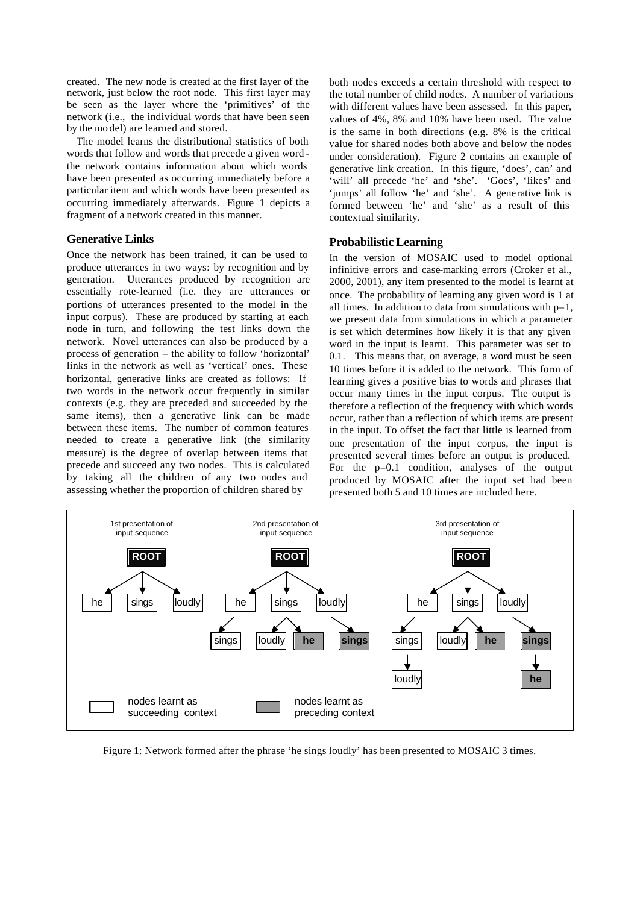created. The new node is created at the first layer of the network, just below the root node. This first layer may be seen as the layer where the 'primitives' of the network (i.e., the individual words that have been seen by the mo del) are learned and stored.

The model learns the distributional statistics of both words that follow and words that precede a given word the network contains information about which words have been presented as occurring immediately before a particular item and which words have been presented as occurring immediately afterwards. Figure 1 depicts a fragment of a network created in this manner.

## **Generative Links**

Once the network has been trained, it can be used to produce utterances in two ways: by recognition and by generation. Utterances produced by recognition are essentially rote-learned (i.e. they are utterances or portions of utterances presented to the model in the input corpus). These are produced by starting at each node in turn, and following the test links down the network. Novel utterances can also be produced by a process of generation – the ability to follow 'horizontal' links in the network as well as 'vertical' ones. These horizontal, generative links are created as follows: If two words in the network occur frequently in similar contexts (e.g. they are preceded and succeeded by the same items), then a generative link can be made between these items. The number of common features needed to create a generative link (the similarity measure) is the degree of overlap between items that precede and succeed any two nodes. This is calculated by taking all the children of any two nodes and assessing whether the proportion of children shared by

both nodes exceeds a certain threshold with respect to the total number of child nodes. A number of variations with different values have been assessed. In this paper, values of 4%, 8% and 10% have been used. The value is the same in both directions (e.g. 8% is the critical value for shared nodes both above and below the nodes under consideration). Figure 2 contains an example of generative link creation. In this figure, 'does', can' and 'will' all precede 'he' and 'she'. 'Goes', 'likes' and 'jumps' all follow 'he' and 'she'. A generative link is formed between 'he' and 'she' as a result of this contextual similarity.

#### **Probabilistic Learning**

In the version of MOSAIC used to model optional infinitive errors and case-marking errors (Croker et al., 2000, 2001), any item presented to the model is learnt at once. The probability of learning any given word is 1 at all times. In addition to data from simulations with  $p=1$ , we present data from simulations in which a parameter is set which determines how likely it is that any given word in the input is learnt. This parameter was set to 0.1. This means that, on average, a word must be seen 10 times before it is added to the network. This form of learning gives a positive bias to words and phrases that occur many times in the input corpus. The output is therefore a reflection of the frequency with which words occur, rather than a reflection of which items are present in the input. To offset the fact that little is learned from one presentation of the input corpus, the input is presented several times before an output is produced. For the p=0.1 condition, analyses of the output produced by MOSAIC after the input set had been presented both 5 and 10 times are included here.



Figure 1: Network formed after the phrase 'he sings loudly' has been presented to MOSAIC 3 times.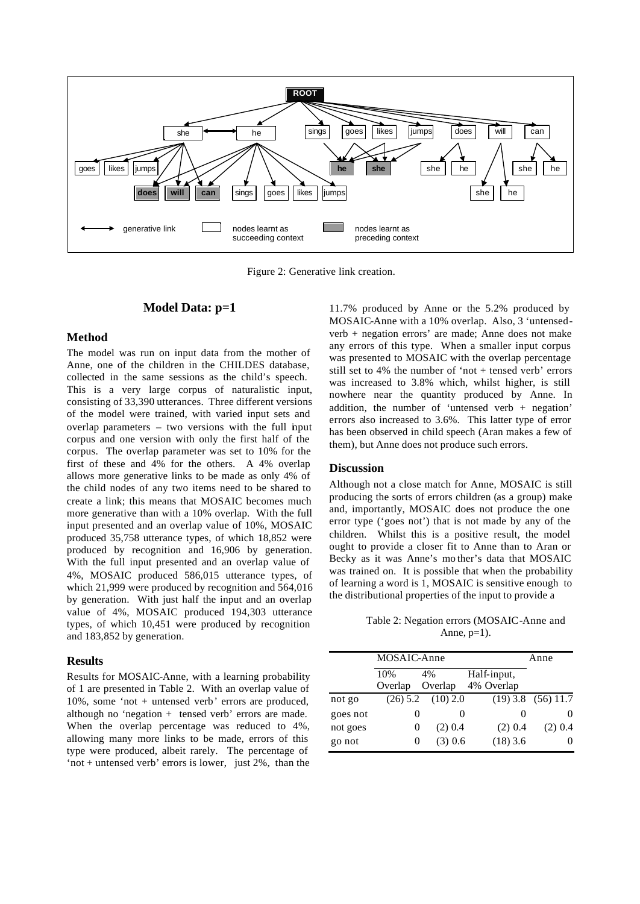

Figure 2: Generative link creation.

#### **Model Data: p=1**

#### **Method**

The model was run on input data from the mother of Anne, one of the children in the CHILDES database, collected in the same sessions as the child's speech. This is a very large corpus of naturalistic input, consisting of 33,390 utterances. Three different versions of the model were trained, with varied input sets and overlap parameters  $-$  two versions with the full input corpus and one version with only the first half of the corpus. The overlap parameter was set to 10% for the first of these and 4% for the others. A 4% overlap allows more generative links to be made as only 4% of the child nodes of any two items need to be shared to create a link; this means that MOSAIC becomes much more generative than with a 10% overlap. With the full input presented and an overlap value of 10%, MOSAIC produced 35,758 utterance types, of which 18,852 were produced by recognition and 16,906 by generation. With the full input presented and an overlap value of 4%, MOSAIC produced 586,015 utterance types, of which 21,999 were produced by recognition and 564,016 by generation. With just half the input and an overlap value of 4%, MOSAIC produced 194,303 utterance types, of which 10,451 were produced by recognition and 183,852 by generation.

#### **Results**

Results for MOSAIC-Anne, with a learning probability of 1 are presented in Table 2. With an overlap value of 10%, some 'not + untensed verb' errors are produced, although no 'negation + tensed verb' errors are made. When the overlap percentage was reduced to 4%, allowing many more links to be made, errors of this type were produced, albeit rarely. The percentage of 'not + untensed verb' errors is lower, just  $2\%$ , than the

11.7% produced by Anne or the 5.2% produced by MOSAIC-Anne with a 10% overlap. Also, 3 'untensedverb + negation errors' are made; Anne does not make any errors of this type. When a smaller input corpus was presented to MOSAIC with the overlap percentage still set to 4% the number of 'not + tensed verb' errors was increased to 3.8% which, whilst higher, is still nowhere near the quantity produced by Anne. In addition, the number of 'untensed verb + negation' errors also increased to 3.6%. This latter type of error has been observed in child speech (Aran makes a few of them), but Anne does not produce such errors.

# **Discussion**

Although not a close match for Anne, MOSAIC is still producing the sorts of errors children (as a group) make and, importantly, MOSAIC does not produce the one error type ('goes not') that is not made by any of the children. Whilst this is a positive result, the model ought to provide a closer fit to Anne than to Aran or Becky as it was Anne's mo ther's data that MOSAIC was trained on. It is possible that when the probability of learning a word is 1, MOSAIC is sensitive enough to the distributional properties of the input to provide a

Table 2: Negation errors (MOSAIC-Anne and Anne,  $p=1$ ).

|          | MOSAIC-Anne    |               |                           | Anne                   |
|----------|----------------|---------------|---------------------------|------------------------|
|          | 10%<br>Overlap | 4%<br>Overlap | Half-input,<br>4% Overlap |                        |
| not go   | $(26)$ 5.2     | $(10)$ 2.0    |                           | $(19)$ 3.8 $(56)$ 11.7 |
| goes not | $\theta$       | 0             |                           |                        |
| not goes | 0              | $(2)$ 0.4     | $(2)$ 0.4                 | $(2)$ 0.4              |
| go not   | 0              | $(3)$ 0.6     | $(18)$ 3.6                |                        |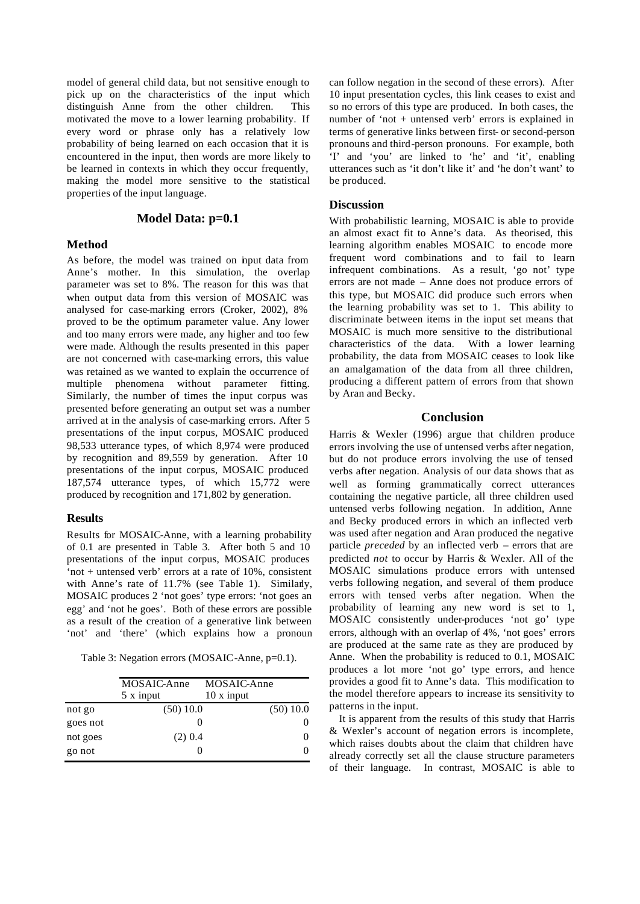model of general child data, but not sensitive enough to pick up on the characteristics of the input which distinguish Anne from the other children. This motivated the move to a lower learning probability. If every word or phrase only has a relatively low probability of being learned on each occasion that it is encountered in the input, then words are more likely to be learned in contexts in which they occur frequently, making the model more sensitive to the statistical properties of the input language.

## **Model Data: p=0.1**

#### **Method**

As before, the model was trained on input data from Anne's mother. In this simulation, the overlap parameter was set to 8%. The reason for this was that when output data from this version of MOSAIC was analysed for case-marking errors (Croker, 2002), 8% proved to be the optimum parameter value. Any lower and too many errors were made, any higher and too few were made. Although the results presented in this paper are not concerned with case-marking errors, this value was retained as we wanted to explain the occurrence of multiple phenomena without parameter fitting. Similarly, the number of times the input corpus was presented before generating an output set was a number arrived at in the analysis of case-marking errors. After 5 presentations of the input corpus, MOSAIC produced 98,533 utterance types, of which 8,974 were produced by recognition and 89,559 by generation. After 10 presentations of the input corpus, MOSAIC produced 187,574 utterance types, of which 15,772 were produced by recognition and 171,802 by generation.

#### **Results**

Results for MOSAIC-Anne, with a learning probability of 0.1 are presented in Table 3. After both 5 and 10 presentations of the input corpus, MOSAIC produces 'not + untensed verb' errors at a rate of 10%, consistent with Anne's rate of  $11.7\%$  (see Table 1). Similarly, MOSAIC produces 2 'not goes' type errors: 'not goes an egg' and 'not he goes'. Both of these errors are possible as a result of the creation of a generative link between 'not' and 'there' (which explains how a pronoun

Table 3: Negation errors (MOSAIC-Anne, p=0.1).

|          | MOSAIC-Anne<br>5 x input | MOSAIC-Anne<br>$10 \times input$ |  |
|----------|--------------------------|----------------------------------|--|
| not go   | (50) 10.0                | (50) 10.0                        |  |
| goes not |                          |                                  |  |
| not goes | $(2)$ 0.4                |                                  |  |
| go not   |                          | O                                |  |

can follow negation in the second of these errors). After 10 input presentation cycles, this link ceases to exist and so no errors of this type are produced. In both cases, the number of 'not + untensed verb' errors is explained in terms of generative links between first- or second-person pronouns and third-person pronouns. For example, both 'I' and 'you' are linked to 'he' and 'it', enabling utterances such as 'it don't like it' and 'he don't want' to be produced.

# **Discussion**

With probabilistic learning, MOSAIC is able to provide an almost exact fit to Anne's data. As theorised, this learning algorithm enables MOSAIC to encode more frequent word combinations and to fail to learn infrequent combinations. As a result, 'go not' type errors are not made – Anne does not produce errors of this type, but MOSAIC did produce such errors when the learning probability was set to 1. This ability to discriminate between items in the input set means that MOSAIC is much more sensitive to the distributional characteristics of the data. With a lower learning probability, the data from MOSAIC ceases to look like an amalgamation of the data from all three children, producing a different pattern of errors from that shown by Aran and Becky.

## **Conclusion**

Harris & Wexler (1996) argue that children produce errors involving the use of untensed verbs after negation, but do not produce errors involving the use of tensed verbs after negation. Analysis of our data shows that as well as forming grammatically correct utterances containing the negative particle, all three children used untensed verbs following negation. In addition, Anne and Becky produced errors in which an inflected verb was used after negation and Aran produced the negative particle *preceded* by an inflected verb – errors that are predicted *not* to occur by Harris & Wexler. All of the MOSAIC simulations produce errors with untensed verbs following negation, and several of them produce errors with tensed verbs after negation. When the probability of learning any new word is set to 1, MOSAIC consistently under-produces 'not go' type errors, although with an overlap of 4%, 'not goes' errors are produced at the same rate as they are produced by Anne. When the probability is reduced to 0.1, MOSAIC produces a lot more 'not go' type errors, and hence provides a good fit to Anne's data. This modification to the model therefore appears to increase its sensitivity to patterns in the input.

It is apparent from the results of this study that Harris & Wexler's account of negation errors is incomplete, which raises doubts about the claim that children have already correctly set all the clause structure parameters of their language. In contrast, MOSAIC is able to